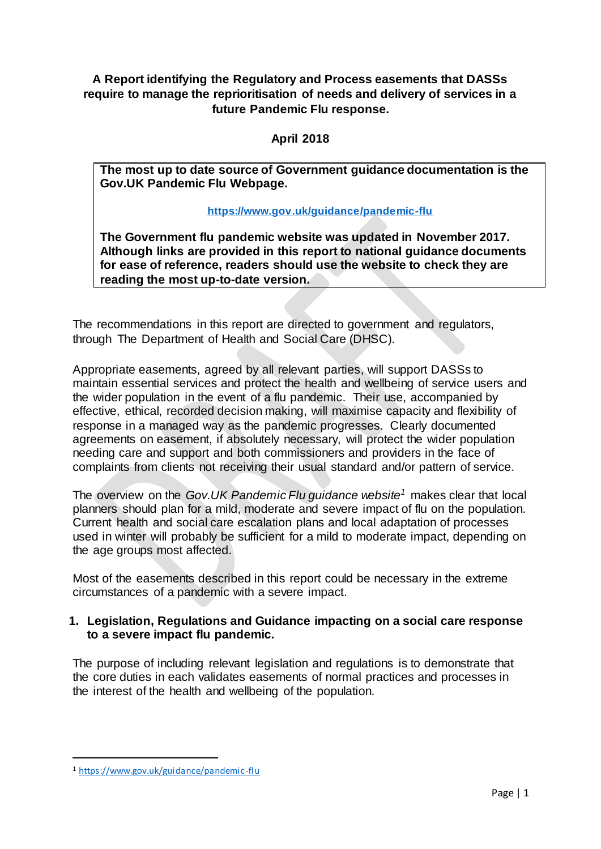**A Report identifying the Regulatory and Process easements that DASSs require to manage the reprioritisation of needs and delivery of services in a future Pandemic Flu response.**

### **April 2018**

**The most up to date source of Government guidance documentation is the Gov.UK Pandemic Flu Webpage.**

#### **<https://www.gov.uk/guidance/pandemic-flu>**

**The Government flu pandemic website was updated in November 2017. Although links are provided in this report to national guidance documents for ease of reference, readers should use the website to check they are reading the most up-to-date version.**

The recommendations in this report are directed to government and regulators, through The Department of Health and Social Care (DHSC).

Appropriate easements, agreed by all relevant parties, will support DASSs to maintain essential services and protect the health and wellbeing of service users and the wider population in the event of a flu pandemic. Their use, accompanied by effective, ethical, recorded decision making, will maximise capacity and flexibility of response in a managed way as the pandemic progresses. Clearly documented agreements on easement, if absolutely necessary, will protect the wider population needing care and support and both commissioners and providers in the face of complaints from clients not receiving their usual standard and/or pattern of service.

The overview on the *Gov.UK Pandemic Flu guidance website<sup>1</sup>* makes clear that local planners should plan for a mild, moderate and severe impact of flu on the population. Current health and social care escalation plans and local adaptation of processes used in winter will probably be sufficient for a mild to moderate impact, depending on the age groups most affected.

Most of the easements described in this report could be necessary in the extreme circumstances of a pandemic with a severe impact.

#### **1. Legislation, Regulations and Guidance impacting on a social care response to a severe impact flu pandemic.**

The purpose of including relevant legislation and regulations is to demonstrate that the core duties in each validates easements of normal practices and processes in the interest of the health and wellbeing of the population.

<sup>1</sup> <https://www.gov.uk/guidance/pandemic-flu>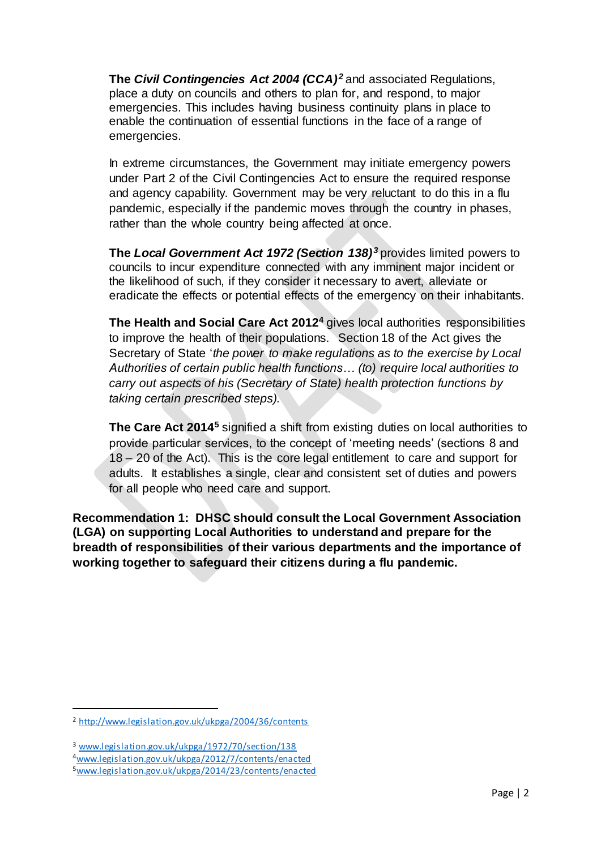**The** *Civil Contingencies Act 2004 (CCA)<sup>2</sup>* and associated Regulations, place a duty on councils and others to plan for, and respond, to major emergencies. This includes having business continuity plans in place to enable the continuation of essential functions in the face of a range of emergencies.

In extreme circumstances, the Government may initiate emergency powers under Part 2 of the Civil Contingencies Act to ensure the required response and agency capability. Government may be very reluctant to do this in a flu pandemic, especially if the pandemic moves through the country in phases, rather than the whole country being affected at once.

**The** *Local Government Act 1972 (Section 138)<sup>3</sup>* provides limited powers to councils to incur expenditure connected with any imminent major incident or the likelihood of such, if they consider it necessary to avert, alleviate or eradicate the effects or potential effects of the emergency on their inhabitants.

**The Health and Social Care Act 2012<sup>4</sup>** gives local authorities responsibilities to improve the health of their populations. Section 18 of the Act gives the Secretary of State '*the power to make regulations as to the exercise by Local Authorities of certain public health functions… (to) require local authorities to carry out aspects of his (Secretary of State) health protection functions by taking certain prescribed steps).*

**The Care Act 2014<sup>5</sup>** signified a shift from existing duties on local authorities to provide particular services, to the concept of 'meeting needs' (sections 8 and 18 – 20 of the Act). This is the core legal entitlement to care and support for adults. It establishes a single, clear and consistent set of duties and powers for all people who need care and support.

**Recommendation 1: DHSC should consult the Local Government Association (LGA) on supporting Local Authorities to understand and prepare for the breadth of responsibilities of their various departments and the importance of working together to safeguard their citizens during a flu pandemic.**

<sup>2</sup> <http://www.legislation.gov.uk/ukpga/2004/36/contents>

<sup>3</sup> [www.legislation.gov.uk/ukpga/1972/70/section/138](http://www.legislation.gov.uk/ukpga/1972/70/section/138)

<sup>4</sup>[www.legislation.gov.uk/ukpga/2012/7/contents/enacted](http://www.legislation.gov.uk/ukpga/2012/7/contents/enacted)

<sup>5</sup>[www.legislation.gov.uk/ukpga/2014/23/contents/enacted](http://www.legislation.gov.uk/ukpga/2014/23/contents/enacted)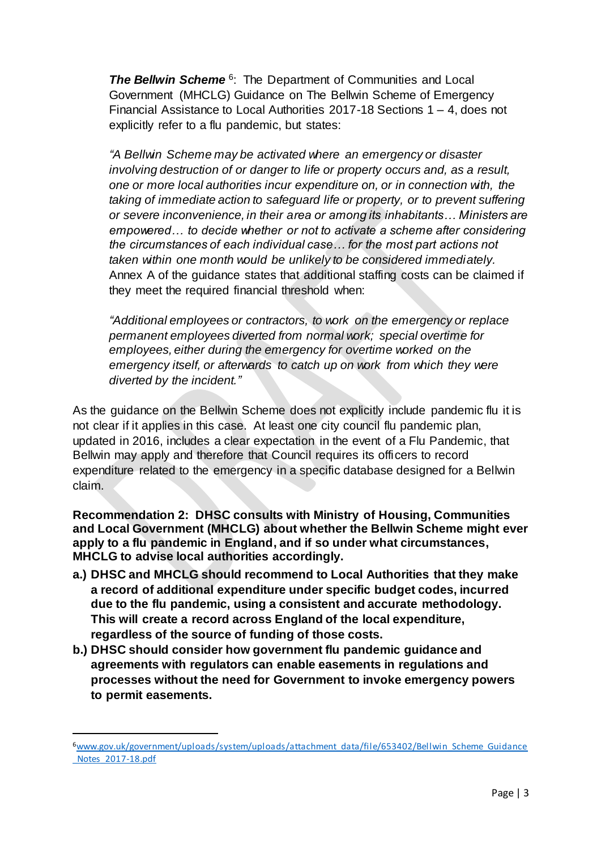**The Bellwin Scheme**<sup>6</sup>: The Department of Communities and Local Government (MHCLG) Guidance on The Bellwin Scheme of Emergency Financial Assistance to Local Authorities 2017-18 Sections 1 – 4, does not explicitly refer to a flu pandemic, but states:

*"A Bellwin Scheme may be activated where an emergency or disaster involving destruction of or danger to life or property occurs and, as a result, one or more local authorities incur expenditure on, or in connection with, the taking of immediate action to safeguard life or property, or to prevent suffering or severe inconvenience, in their area or among its inhabitants… Ministers are empowered… to decide whether or not to activate a scheme after considering the circumstances of each individual case… for the most part actions not taken within one month would be unlikely to be considered immediately.*  Annex A of the guidance states that additional staffing costs can be claimed if they meet the required financial threshold when:

*"Additional employees or contractors, to work on the emergency or replace permanent employees diverted from normal work; special overtime for employees, either during the emergency for overtime worked on the emergency itself, or afterwards to catch up on work from which they were diverted by the incident."*

As the guidance on the Bellwin Scheme does not explicitly include pandemic flu it is not clear if it applies in this case. At least one city council flu pandemic plan, updated in 2016, includes a clear expectation in the event of a Flu Pandemic, that Bellwin may apply and therefore that Council requires its officers to record expenditure related to the emergency in a specific database designed for a Bellwin claim.

**Recommendation 2: DHSC consults with Ministry of Housing, Communities and Local Government (MHCLG) about whether the Bellwin Scheme might ever apply to a flu pandemic in England, and if so under what circumstances, MHCLG to advise local authorities accordingly.**

- **a.) DHSC and MHCLG should recommend to Local Authorities that they make a record of additional expenditure under specific budget codes, incurred due to the flu pandemic, using a consistent and accurate methodology. This will create a record across England of the local expenditure, regardless of the source of funding of those costs.**
- **b.) DHSC should consider how government flu pandemic guidance and agreements with regulators can enable easements in regulations and processes without the need for Government to invoke emergency powers to permit easements.**

<sup>6</sup>[www.gov.uk/government/uploads/system/uploads/attachment\\_data/file/653402/Bellwin\\_Scheme\\_Guidance](http://www.gov.uk/government/uploads/system/uploads/attachment_data/file/653402/Bellwin_Scheme_Guidance_Notes_2017-18.pdf) [\\_Notes\\_2017-18.pdf](http://www.gov.uk/government/uploads/system/uploads/attachment_data/file/653402/Bellwin_Scheme_Guidance_Notes_2017-18.pdf)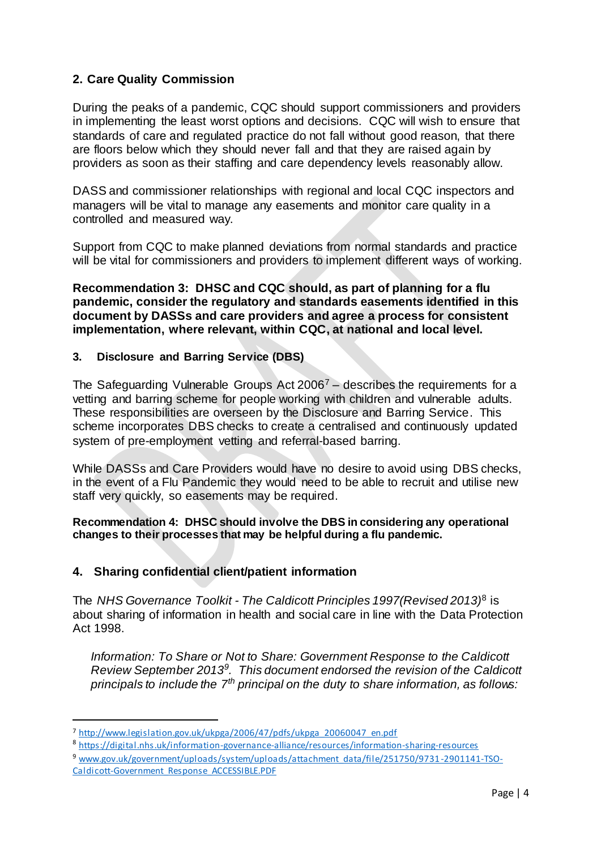### **2. Care Quality Commission**

During the peaks of a pandemic, CQC should support commissioners and providers in implementing the least worst options and decisions. CQC will wish to ensure that standards of care and regulated practice do not fall without good reason, that there are floors below which they should never fall and that they are raised again by providers as soon as their staffing and care dependency levels reasonably allow.

DASS and commissioner relationships with regional and local CQC inspectors and managers will be vital to manage any easements and monitor care quality in a controlled and measured way.

Support from CQC to make planned deviations from normal standards and practice will be vital for commissioners and providers to implement different ways of working.

**Recommendation 3: DHSC and CQC should, as part of planning for a flu pandemic, consider the regulatory and standards easements identified in this document by DASSs and care providers and agree a process for consistent implementation, where relevant, within CQC, at national and local level.**

#### **3. Disclosure and Barring Service (DBS)**

The Safeguarding Vulnerable Groups Act 2006<sup>7</sup> – describes the requirements for a vetting and barring scheme for people working with children and vulnerable adults. These responsibilities are overseen by the Disclosure and Barring Service. This scheme incorporates DBS checks to create a centralised and continuously updated system of pre-employment vetting and referral-based barring.

While DASSs and Care Providers would have no desire to avoid using DBS checks, in the event of a Flu Pandemic they would need to be able to recruit and utilise new staff very quickly, so easements may be required.

#### **Recommendation 4: DHSC should involve the DBS in considering any operational changes to their processes that may be helpful during a flu pandemic.**

#### **4. Sharing confidential client/patient information**

The *NHS Governance Toolkit - The Caldicott Principles 1997(Revised 2013)*<sup>8</sup> is about sharing of information in health and social care in line with the Data Protection Act 1998.

*Information: To Share or Not to Share: Government Response to the Caldicott Review September 2013<sup>9</sup> . This document endorsed the revision of the Caldicott principals to include the 7th principal on the duty to share information, as follows:*

<sup>7</sup> [http://www.legislation.gov.uk/ukpga/2006/47/pdfs/ukpga\\_20060047\\_en.pdf](http://www.legislation.gov.uk/ukpga/2006/47/pdfs/ukpga_20060047_en.pdf)

<sup>8</sup> <https://digital.nhs.uk/information-governance-alliance/resources/information-sharing-resources>

<sup>9</sup> [www.gov.uk/government/uploads/system/uploads/attachment\\_data/file/251750/9731-2901141-TSO-](http://www.gov.uk/government/uploads/system/uploads/attachment_data/file/251750/9731-2901141-TSO-Caldicott-Government_Response_ACCESSIBLE.PDF)[Caldicott-Government\\_Response\\_ACCESSIBLE.PDF](http://www.gov.uk/government/uploads/system/uploads/attachment_data/file/251750/9731-2901141-TSO-Caldicott-Government_Response_ACCESSIBLE.PDF)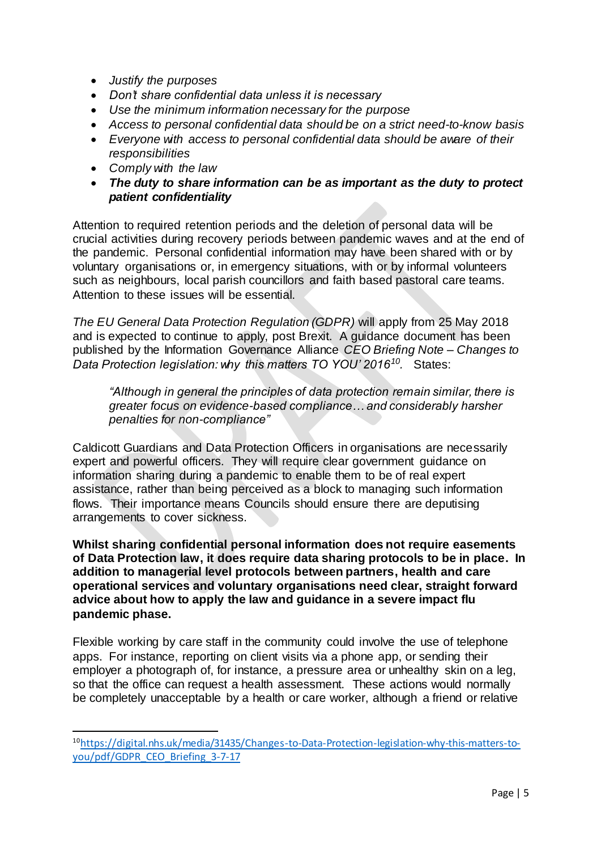- *Justify the purposes*
- *Don't share confidential data unless it is necessary*
- *Use the minimum information necessary for the purpose*
- *Access to personal confidential data should be on a strict need-to-know basis*
- *Everyone with access to personal confidential data should be aware of their responsibilities*
- *Comply with the law*

 $\overline{a}$ 

 *The duty to share information can be as important as the duty to protect patient confidentiality*

Attention to required retention periods and the deletion of personal data will be crucial activities during recovery periods between pandemic waves and at the end of the pandemic. Personal confidential information may have been shared with or by voluntary organisations or, in emergency situations, with or by informal volunteers such as neighbours, local parish councillors and faith based pastoral care teams. Attention to these issues will be essential.

*The EU General Data Protection Regulation (GDPR)* will apply from 25 May 2018 and is expected to continue to apply, post Brexit. A guidance document has been published by the Information Governance Alliance *CEO Briefing Note – Changes to Data Protection legislation: why this matters TO YOU' 2016<sup>10</sup> .* States:

*"Although in general the principles of data protection remain similar, there is greater focus on evidence-based compliance… and considerably harsher penalties for non-compliance"*

Caldicott Guardians and Data Protection Officers in organisations are necessarily expert and powerful officers. They will require clear government guidance on information sharing during a pandemic to enable them to be of real expert assistance, rather than being perceived as a block to managing such information flows. Their importance means Councils should ensure there are deputising arrangements to cover sickness.

**Whilst sharing confidential personal information does not require easements of Data Protection law, it does require data sharing protocols to be in place. In addition to managerial level protocols between partners, health and care operational services and voluntary organisations need clear, straight forward advice about how to apply the law and guidance in a severe impact flu pandemic phase.**

Flexible working by care staff in the community could involve the use of telephone apps. For instance, reporting on client visits via a phone app, or sending their employer a photograph of, for instance, a pressure area or unhealthy skin on a leg, so that the office can request a health assessment. These actions would normally be completely unacceptable by a health or care worker, although a friend or relative

<sup>10</sup>[https://digital.nhs.uk/media/31435/Changes-to-Data-Protection-legislation-why-this-matters-to](https://digital.nhs.uk/media/31435/Changes-to-Data-Protection-legislation-why-this-matters-to-you/pdf/GDPR_CEO_Briefing_3-7-17)[you/pdf/GDPR\\_CEO\\_Briefing\\_3-7-17](https://digital.nhs.uk/media/31435/Changes-to-Data-Protection-legislation-why-this-matters-to-you/pdf/GDPR_CEO_Briefing_3-7-17)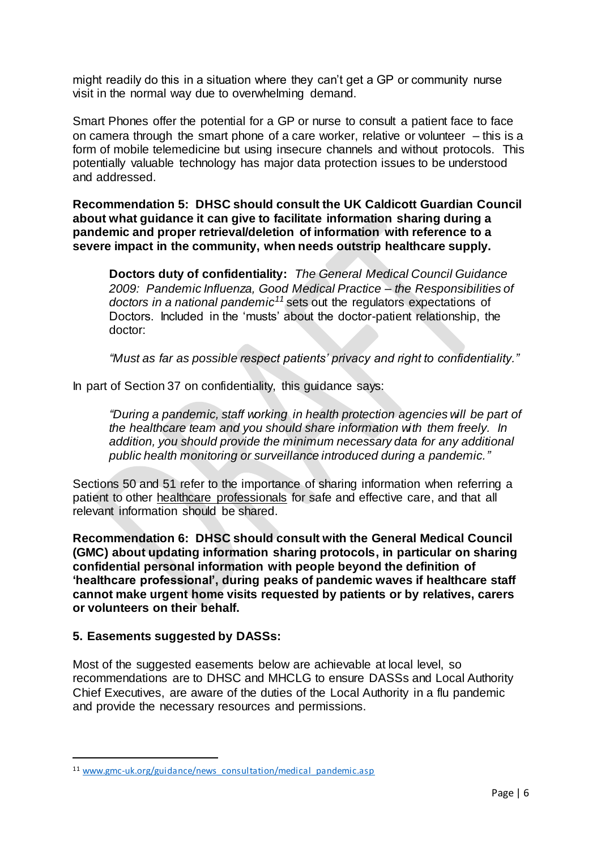might readily do this in a situation where they can't get a GP or community nurse visit in the normal way due to overwhelming demand.

Smart Phones offer the potential for a GP or nurse to consult a patient face to face on camera through the smart phone of a care worker, relative or volunteer – this is a form of mobile telemedicine but using insecure channels and without protocols. This potentially valuable technology has major data protection issues to be understood and addressed.

**Recommendation 5: DHSC should consult the UK Caldicott Guardian Council about what guidance it can give to facilitate information sharing during a pandemic and proper retrieval/deletion of information with reference to a severe impact in the community, when needs outstrip healthcare supply.**

**Doctors duty of confidentiality:** *The General Medical Council Guidance 2009: Pandemic Influenza, Good Medical Practice – the Responsibilities of doctors in a national pandemic<sup>11</sup>* sets out the regulators expectations of Doctors. Included in the 'musts' about the doctor-patient relationship, the doctor:

*"Must as far as possible respect patients' privacy and right to confidentiality."*

In part of Section 37 on confidentiality, this guidance says:

*"During a pandemic, staff working in health protection agencies will be part of the healthcare team and you should share information with them freely. In addition, you should provide the minimum necessary data for any additional public health monitoring or surveillance introduced during a pandemic."*

Sections 50 and 51 refer to the importance of sharing information when referring a patient to other healthcare professionals for safe and effective care, and that all relevant information should be shared.

**Recommendation 6: DHSC should consult with the General Medical Council (GMC) about updating information sharing protocols, in particular on sharing confidential personal information with people beyond the definition of 'healthcare professional', during peaks of pandemic waves if healthcare staff cannot make urgent home visits requested by patients or by relatives, carers or volunteers on their behalf.**

#### **5. Easements suggested by DASSs:**

 $\overline{a}$ 

Most of the suggested easements below are achievable at local level, so recommendations are to DHSC and MHCLG to ensure DASSs and Local Authority Chief Executives, are aware of the duties of the Local Authority in a flu pandemic and provide the necessary resources and permissions.

<sup>&</sup>lt;sup>11</sup> [www.gmc-uk.org/guidance/news\\_consultation/medical\\_pandemic.asp](http://www.gmc-uk.org/guidance/news_consultation/medical_pandemic.asp)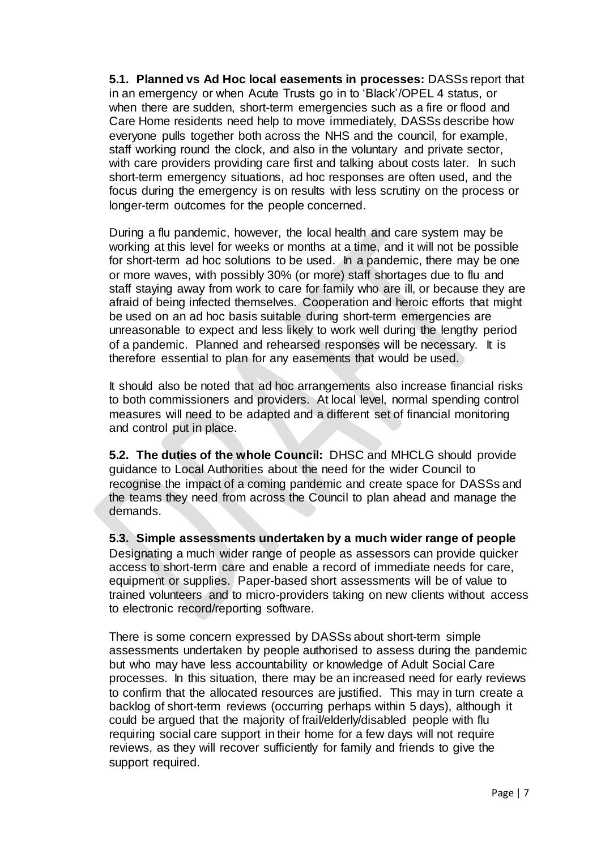**5.1. Planned vs Ad Hoc local easements in processes:** DASSs report that in an emergency or when Acute Trusts go in to 'Black'/OPEL 4 status, or when there are sudden, short-term emergencies such as a fire or flood and Care Home residents need help to move immediately, DASSs describe how everyone pulls together both across the NHS and the council, for example, staff working round the clock, and also in the voluntary and private sector, with care providers providing care first and talking about costs later. In such short-term emergency situations, ad hoc responses are often used, and the focus during the emergency is on results with less scrutiny on the process or longer-term outcomes for the people concerned.

During a flu pandemic, however, the local health and care system may be working at this level for weeks or months at a time, and it will not be possible for short-term ad hoc solutions to be used. In a pandemic, there may be one or more waves, with possibly 30% (or more) staff shortages due to flu and staff staying away from work to care for family who are ill, or because they are afraid of being infected themselves. Cooperation and heroic efforts that might be used on an ad hoc basis suitable during short-term emergencies are unreasonable to expect and less likely to work well during the lengthy period of a pandemic. Planned and rehearsed responses will be necessary. It is therefore essential to plan for any easements that would be used.

It should also be noted that ad hoc arrangements also increase financial risks to both commissioners and providers. At local level, normal spending control measures will need to be adapted and a different set of financial monitoring and control put in place.

**5.2. The duties of the whole Council:** DHSC and MHCLG should provide guidance to Local Authorities about the need for the wider Council to recognise the impact of a coming pandemic and create space for DASSs and the teams they need from across the Council to plan ahead and manage the demands.

**5.3. Simple assessments undertaken by a much wider range of people**  Designating a much wider range of people as assessors can provide quicker access to short-term care and enable a record of immediate needs for care, equipment or supplies. Paper-based short assessments will be of value to trained volunteers and to micro-providers taking on new clients without access to electronic record/reporting software.

There is some concern expressed by DASSs about short-term simple assessments undertaken by people authorised to assess during the pandemic but who may have less accountability or knowledge of Adult Social Care processes. In this situation, there may be an increased need for early reviews to confirm that the allocated resources are justified. This may in turn create a backlog of short-term reviews (occurring perhaps within 5 days), although it could be argued that the majority of frail/elderly/disabled people with flu requiring social care support in their home for a few days will not require reviews, as they will recover sufficiently for family and friends to give the support required.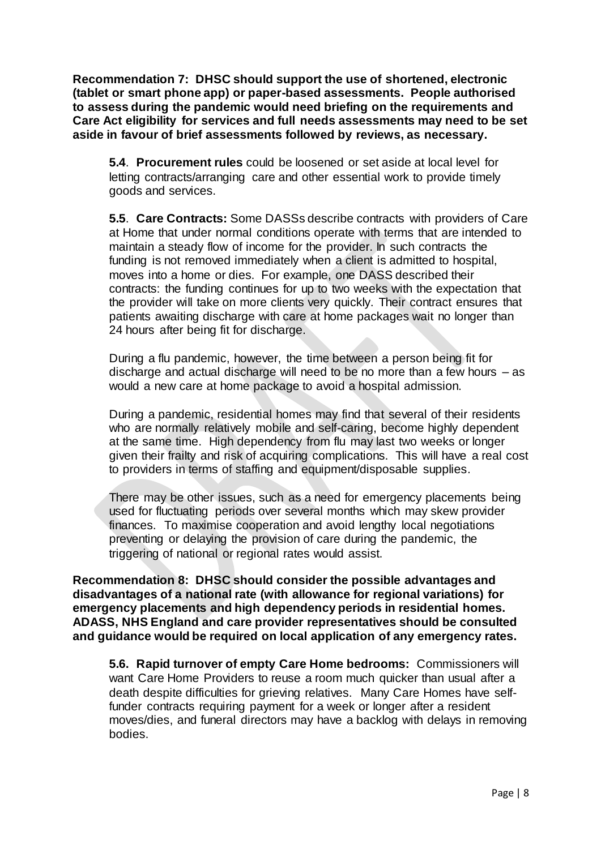**Recommendation 7: DHSC should support the use of shortened, electronic (tablet or smart phone app) or paper-based assessments. People authorised to assess during the pandemic would need briefing on the requirements and Care Act eligibility for services and full needs assessments may need to be set aside in favour of brief assessments followed by reviews, as necessary.**

**5.4**. **Procurement rules** could be loosened or set aside at local level for letting contracts/arranging care and other essential work to provide timely goods and services.

**5.5**. **Care Contracts:** Some DASSs describe contracts with providers of Care at Home that under normal conditions operate with terms that are intended to maintain a steady flow of income for the provider. In such contracts the funding is not removed immediately when a client is admitted to hospital, moves into a home or dies. For example, one DASS described their contracts: the funding continues for up to two weeks with the expectation that the provider will take on more clients very quickly. Their contract ensures that patients awaiting discharge with care at home packages wait no longer than 24 hours after being fit for discharge.

During a flu pandemic, however, the time between a person being fit for discharge and actual discharge will need to be no more than a few hours – as would a new care at home package to avoid a hospital admission.

During a pandemic, residential homes may find that several of their residents who are normally relatively mobile and self-caring, become highly dependent at the same time. High dependency from flu may last two weeks or longer given their frailty and risk of acquiring complications. This will have a real cost to providers in terms of staffing and equipment/disposable supplies.

There may be other issues, such as a need for emergency placements being used for fluctuating periods over several months which may skew provider finances. To maximise cooperation and avoid lengthy local negotiations preventing or delaying the provision of care during the pandemic, the triggering of national or regional rates would assist.

**Recommendation 8: DHSC should consider the possible advantages and disadvantages of a national rate (with allowance for regional variations) for emergency placements and high dependency periods in residential homes. ADASS, NHS England and care provider representatives should be consulted and guidance would be required on local application of any emergency rates.**

**5.6. Rapid turnover of empty Care Home bedrooms:** Commissioners will want Care Home Providers to reuse a room much quicker than usual after a death despite difficulties for grieving relatives. Many Care Homes have selffunder contracts requiring payment for a week or longer after a resident moves/dies, and funeral directors may have a backlog with delays in removing bodies.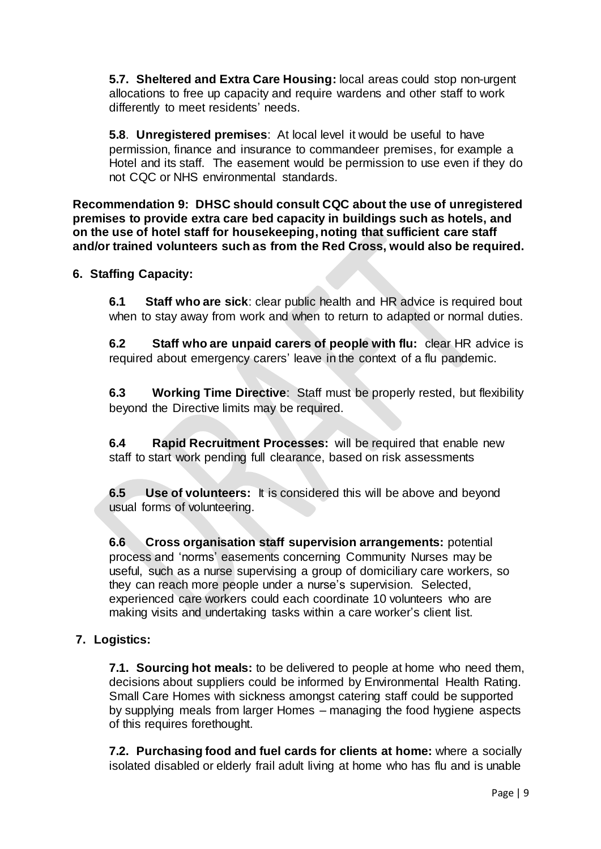**5.7. Sheltered and Extra Care Housing:** local areas could stop non-urgent allocations to free up capacity and require wardens and other staff to work differently to meet residents' needs.

**5.8**. **Unregistered premises**: At local level it would be useful to have permission, finance and insurance to commandeer premises, for example a Hotel and its staff. The easement would be permission to use even if they do not CQC or NHS environmental standards.

**Recommendation 9: DHSC should consult CQC about the use of unregistered premises to provide extra care bed capacity in buildings such as hotels, and on the use of hotel staff for housekeeping, noting that sufficient care staff and/or trained volunteers such as from the Red Cross, would also be required.**

### **6. Staffing Capacity:**

**6.1 Staff who are sick**: clear public health and HR advice is required bout when to stay away from work and when to return to adapted or normal duties.

**6.2 Staff who are unpaid carers of people with flu:** clear HR advice is required about emergency carers' leave in the context of a flu pandemic.

**6.3 Working Time Directive**: Staff must be properly rested, but flexibility beyond the Directive limits may be required.

**6.4 Rapid Recruitment Processes:** will be required that enable new staff to start work pending full clearance, based on risk assessments

**6.5 Use of volunteers:** It is considered this will be above and beyond usual forms of volunteering.

**6.6 Cross organisation staff supervision arrangements:** potential process and 'norms' easements concerning Community Nurses may be useful, such as a nurse supervising a group of domiciliary care workers, so they can reach more people under a nurse's supervision. Selected, experienced care workers could each coordinate 10 volunteers who are making visits and undertaking tasks within a care worker's client list.

### **7. Logistics:**

**7.1. Sourcing hot meals:** to be delivered to people at home who need them, decisions about suppliers could be informed by Environmental Health Rating. Small Care Homes with sickness amongst catering staff could be supported by supplying meals from larger Homes – managing the food hygiene aspects of this requires forethought.

**7.2. Purchasing food and fuel cards for clients at home:** where a socially isolated disabled or elderly frail adult living at home who has flu and is unable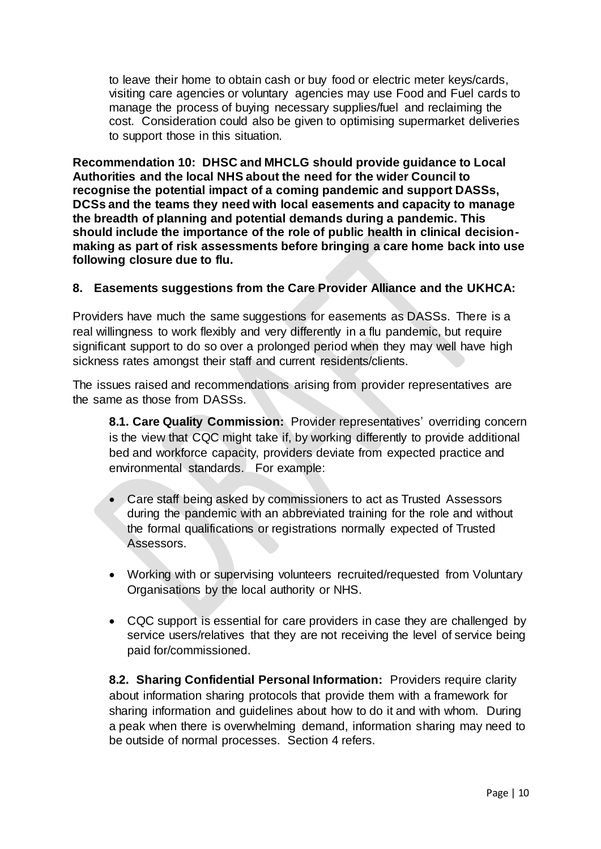to leave their home to obtain cash or buy food or electric meter keys/cards, visiting care agencies or voluntary agencies may use Food and Fuel cards to manage the process of buying necessary supplies/fuel and reclaiming the cost. Consideration could also be given to optimising supermarket deliveries to support those in this situation.

**Recommendation 10: DHSC and MHCLG should provide guidance to Local Authorities and the local NHS about the need for the wider Council to recognise the potential impact of a coming pandemic and support DASSs, DCSs and the teams they need with local easements and capacity to manage the breadth of planning and potential demands during a pandemic. This should include the importance of the role of public health in clinical decisionmaking as part of risk assessments before bringing a care home back into use following closure due to flu.** 

### **8. Easements suggestions from the Care Provider Alliance and the UKHCA:**

Providers have much the same suggestions for easements as DASSs. There is a real willingness to work flexibly and very differently in a flu pandemic, but require significant support to do so over a prolonged period when they may well have high sickness rates amongst their staff and current residents/clients.

The issues raised and recommendations arising from provider representatives are the same as those from DASSs.

**8.1. Care Quality Commission:** Provider representatives' overriding concern is the view that CQC might take if, by working differently to provide additional bed and workforce capacity, providers deviate from expected practice and environmental standards. For example:

- Care staff being asked by commissioners to act as Trusted Assessors during the pandemic with an abbreviated training for the role and without the formal qualifications or registrations normally expected of Trusted Assessors.
- Working with or supervising volunteers recruited/requested from Voluntary Organisations by the local authority or NHS.
- CQC support is essential for care providers in case they are challenged by service users/relatives that they are not receiving the level of service being paid for/commissioned.

**8.2. Sharing Confidential Personal Information:** Providers require clarity about information sharing protocols that provide them with a framework for sharing information and guidelines about how to do it and with whom. During a peak when there is overwhelming demand, information sharing may need to be outside of normal processes. Section 4 refers.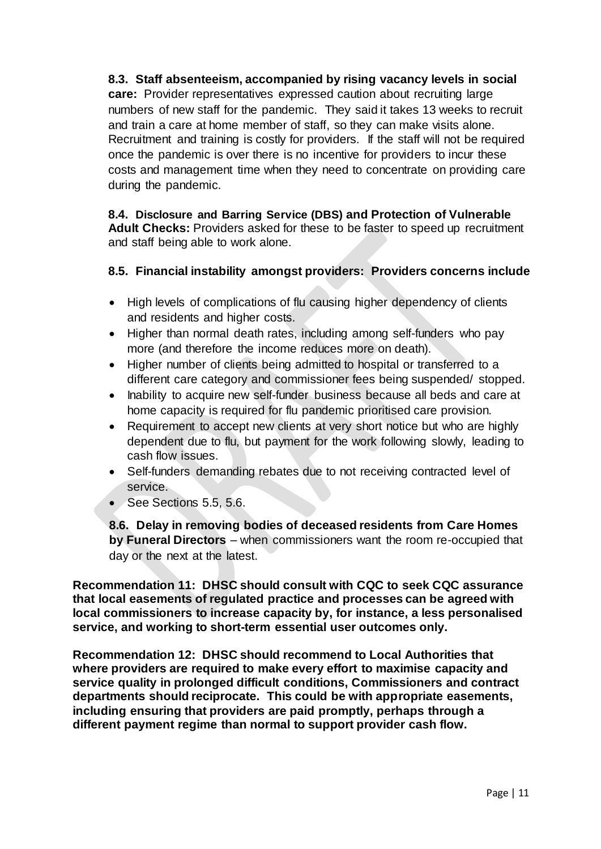# **8.3. Staff absenteeism, accompanied by rising vacancy levels in social care:** Provider representatives expressed caution about recruiting large numbers of new staff for the pandemic. They said it takes 13 weeks to recruit and train a care at home member of staff, so they can make visits alone. Recruitment and training is costly for providers. If the staff will not be required

once the pandemic is over there is no incentive for providers to incur these costs and management time when they need to concentrate on providing care during the pandemic.

### **8.4. Disclosure and Barring Service (DBS) and Protection of Vulnerable Adult Checks:** Providers asked for these to be faster to speed up recruitment and staff being able to work alone.

# **8.5. Financial instability amongst providers: Providers concerns include**

- High levels of complications of flu causing higher dependency of clients and residents and higher costs.
- Higher than normal death rates, including among self-funders who pay more (and therefore the income reduces more on death).
- Higher number of clients being admitted to hospital or transferred to a different care category and commissioner fees being suspended/ stopped.
- Inability to acquire new self-funder business because all beds and care at home capacity is required for flu pandemic prioritised care provision.
- Requirement to accept new clients at very short notice but who are highly dependent due to flu, but payment for the work following slowly, leading to cash flow issues.
- Self-funders demanding rebates due to not receiving contracted level of service.
- See Sections 5.5, 5.6.

**8.6. Delay in removing bodies of deceased residents from Care Homes by Funeral Directors** – when commissioners want the room re-occupied that day or the next at the latest.

**Recommendation 11: DHSC should consult with CQC to seek CQC assurance that local easements of regulated practice and processes can be agreed with local commissioners to increase capacity by, for instance, a less personalised service, and working to short-term essential user outcomes only.** 

**Recommendation 12: DHSC should recommend to Local Authorities that where providers are required to make every effort to maximise capacity and service quality in prolonged difficult conditions, Commissioners and contract departments should reciprocate. This could be with appropriate easements, including ensuring that providers are paid promptly, perhaps through a different payment regime than normal to support provider cash flow.**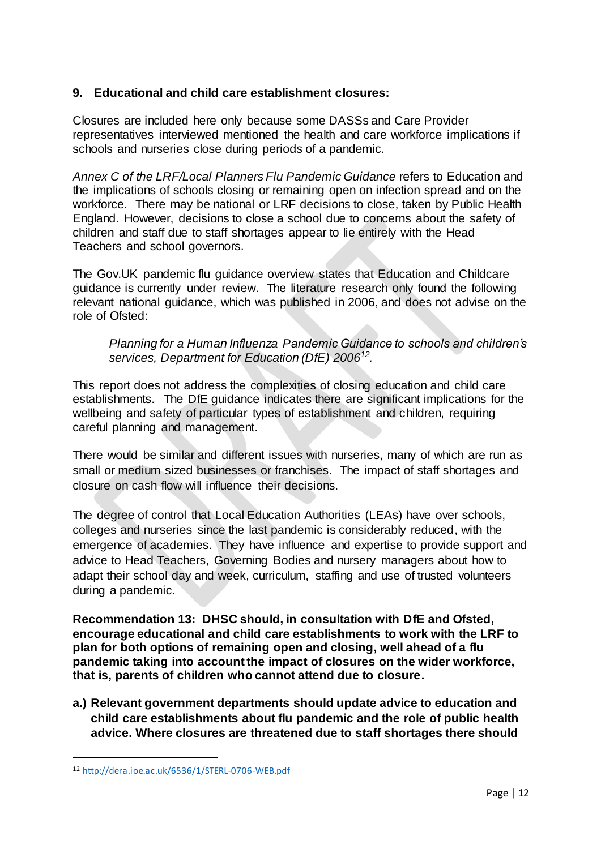### **9. Educational and child care establishment closures:**

Closures are included here only because some DASSs and Care Provider representatives interviewed mentioned the health and care workforce implications if schools and nurseries close during periods of a pandemic.

*Annex C of the LRF/Local Planners Flu Pandemic Guidance* refers to Education and the implications of schools closing or remaining open on infection spread and on the workforce. There may be national or LRF decisions to close, taken by Public Health England. However, decisions to close a school due to concerns about the safety of children and staff due to staff shortages appear to lie entirely with the Head Teachers and school governors.

The Gov.UK pandemic flu guidance overview states that Education and Childcare guidance is currently under review. The literature research only found the following relevant national guidance, which was published in 2006, and does not advise on the role of Ofsted:

*Planning for a Human Influenza Pandemic Guidance to schools and children's services, Department for Education (DfE) 2006<sup>12</sup> .*

This report does not address the complexities of closing education and child care establishments. The DfE guidance indicates there are significant implications for the wellbeing and safety of particular types of establishment and children, requiring careful planning and management.

There would be similar and different issues with nurseries, many of which are run as small or medium sized businesses or franchises. The impact of staff shortages and closure on cash flow will influence their decisions.

The degree of control that Local Education Authorities (LEAs) have over schools, colleges and nurseries since the last pandemic is considerably reduced, with the emergence of academies. They have influence and expertise to provide support and advice to Head Teachers, Governing Bodies and nursery managers about how to adapt their school day and week, curriculum, staffing and use of trusted volunteers during a pandemic.

**Recommendation 13: DHSC should, in consultation with DfE and Ofsted, encourage educational and child care establishments to work with the LRF to plan for both options of remaining open and closing, well ahead of a flu pandemic taking into account the impact of closures on the wider workforce, that is, parents of children who cannot attend due to closure.** 

**a.) Relevant government departments should update advice to education and child care establishments about flu pandemic and the role of public health advice. Where closures are threatened due to staff shortages there should** 

<sup>12</sup> <http://dera.ioe.ac.uk/6536/1/STERL-0706-WEB.pdf>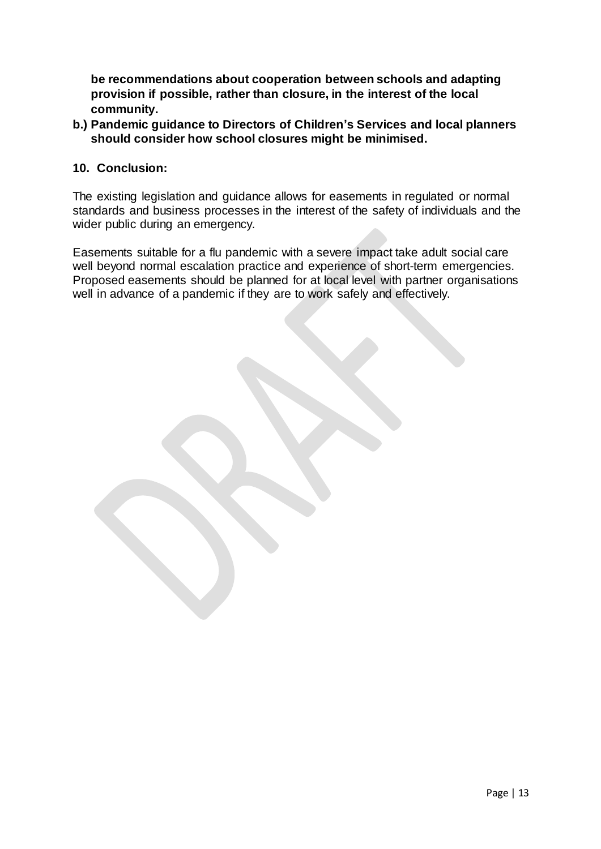**be recommendations about cooperation between schools and adapting provision if possible, rather than closure, in the interest of the local community.**

**b.) Pandemic guidance to Directors of Children's Services and local planners should consider how school closures might be minimised.**

#### **10. Conclusion:**

The existing legislation and guidance allows for easements in regulated or normal standards and business processes in the interest of the safety of individuals and the wider public during an emergency.

Easements suitable for a flu pandemic with a severe impact take adult social care well beyond normal escalation practice and experience of short-term emergencies. Proposed easements should be planned for at local level with partner organisations well in advance of a pandemic if they are to work safely and effectively.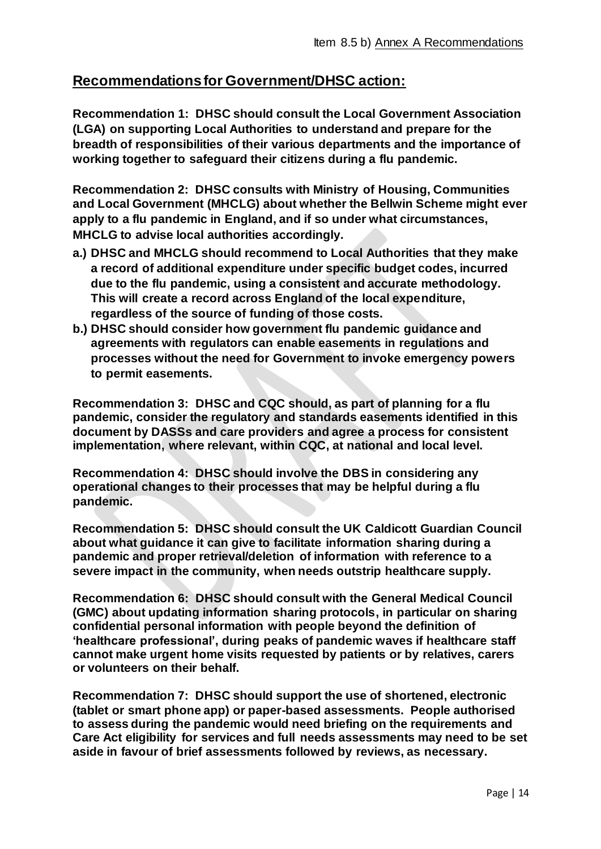# **Recommendations for Government/DHSC action:**

**Recommendation 1: DHSC should consult the Local Government Association (LGA) on supporting Local Authorities to understand and prepare for the breadth of responsibilities of their various departments and the importance of working together to safeguard their citizens during a flu pandemic.**

**Recommendation 2: DHSC consults with Ministry of Housing, Communities and Local Government (MHCLG) about whether the Bellwin Scheme might ever apply to a flu pandemic in England, and if so under what circumstances, MHCLG to advise local authorities accordingly.**

- **a.) DHSC and MHCLG should recommend to Local Authorities that they make a record of additional expenditure under specific budget codes, incurred due to the flu pandemic, using a consistent and accurate methodology. This will create a record across England of the local expenditure, regardless of the source of funding of those costs.**
- **b.) DHSC should consider how government flu pandemic guidance and agreements with regulators can enable easements in regulations and processes without the need for Government to invoke emergency powers to permit easements.**

**Recommendation 3: DHSC and CQC should, as part of planning for a flu pandemic, consider the regulatory and standards easements identified in this document by DASSs and care providers and agree a process for consistent implementation, where relevant, within CQC, at national and local level.**

**Recommendation 4: DHSC should involve the DBS in considering any operational changes to their processes that may be helpful during a flu pandemic.**

**Recommendation 5: DHSC should consult the UK Caldicott Guardian Council about what guidance it can give to facilitate information sharing during a pandemic and proper retrieval/deletion of information with reference to a severe impact in the community, when needs outstrip healthcare supply.**

**Recommendation 6: DHSC should consult with the General Medical Council (GMC) about updating information sharing protocols, in particular on sharing confidential personal information with people beyond the definition of 'healthcare professional', during peaks of pandemic waves if healthcare staff cannot make urgent home visits requested by patients or by relatives, carers or volunteers on their behalf.**

**Recommendation 7: DHSC should support the use of shortened, electronic (tablet or smart phone app) or paper-based assessments. People authorised to assess during the pandemic would need briefing on the requirements and Care Act eligibility for services and full needs assessments may need to be set aside in favour of brief assessments followed by reviews, as necessary.**